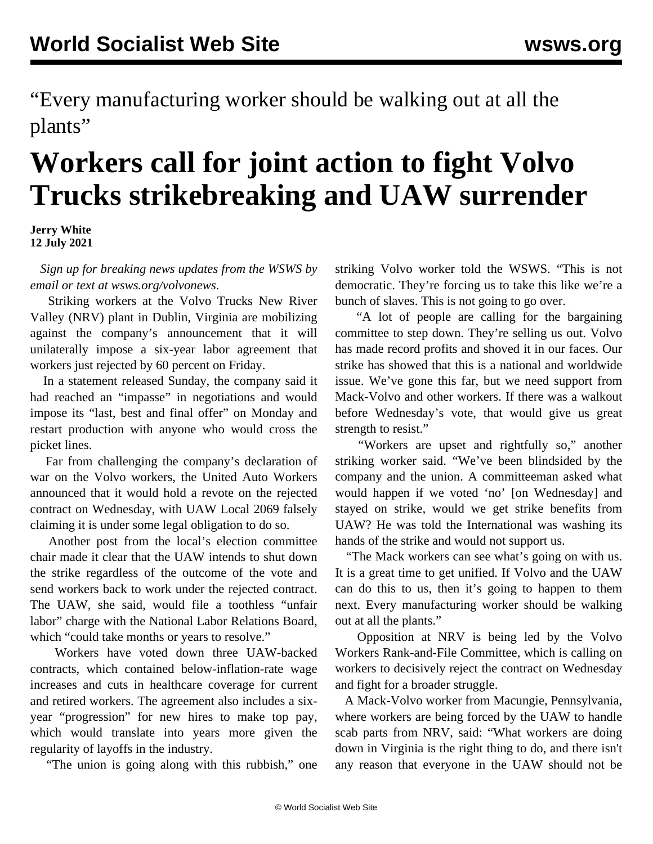"Every manufacturing worker should be walking out at all the plants"

## **Workers call for joint action to fight Volvo Trucks strikebreaking and UAW surrender**

**Jerry White 12 July 2021**

 *Sign up for breaking news updates from the WSWS by email or text a[t](/volvonews) [wsws.org/volvonews](/volvonews)*.

 Striking workers at the Volvo Trucks New River Valley (NRV) plant in Dublin, Virginia are mobilizing against the company's announcement that it will unilaterally impose a six-year labor agreement that workers just rejected by 60 percent on Friday.

 In a statement released Sunday, the company said it had reached an "impasse" in negotiations and would impose its "last, best and final offer" on Monday and restart production with anyone who would cross the picket lines.

 Far from challenging the company's declaration of war on the Volvo workers, the United Auto Workers announced that it would hold a revote on the rejected contract on Wednesday, with UAW Local 2069 falsely claiming it is under some legal obligation to do so.

 Another post from the local's election committee chair made it clear that the UAW intends to shut down the strike regardless of the outcome of the vote and send workers back to work under the rejected contract. The UAW, she said, would file a toothless "unfair labor" charge with the National Labor Relations Board, which "could take months or years to resolve."

 Workers have voted down three UAW-backed contracts, which contained below-inflation-rate wage increases and cuts in healthcare coverage for current and retired workers. The agreement also includes a sixyear "progression" for new hires to make top pay, which would translate into years more given the regularity of layoffs in the industry.

"The union is going along with this rubbish," one

striking Volvo worker told the WSWS. "This is not democratic. They're forcing us to take this like we're a bunch of slaves. This is not going to go over.

 "A lot of people are calling for the bargaining committee to step down. They're selling us out. Volvo has made record profits and shoved it in our faces. Our strike has showed that this is a national and worldwide issue. We've gone this far, but we need support from Mack-Volvo and other workers. If there was a walkout before Wednesday's vote, that would give us great strength to resist."

 "Workers are upset and rightfully so," another striking worker said. "We've been blindsided by the company and the union. A committeeman asked what would happen if we voted 'no' [on Wednesday] and stayed on strike, would we get strike benefits from UAW? He was told the International was washing its hands of the strike and would not support us.

 "The Mack workers can see what's going on with us. It is a great time to get unified. If Volvo and the UAW can do this to us, then it's going to happen to them next. Every manufacturing worker should be walking out at all the plants."

 Opposition at NRV is being led by the Volvo Workers Rank-and-File Committee, which is calling on workers to decisively reject the contract on Wednesday and fight for a broader struggle.

 A Mack-Volvo worker from Macungie, Pennsylvania, where workers are being forced by the UAW to handle scab parts from NRV, said: "What workers are doing down in Virginia is the right thing to do, and there isn't any reason that everyone in the UAW should not be